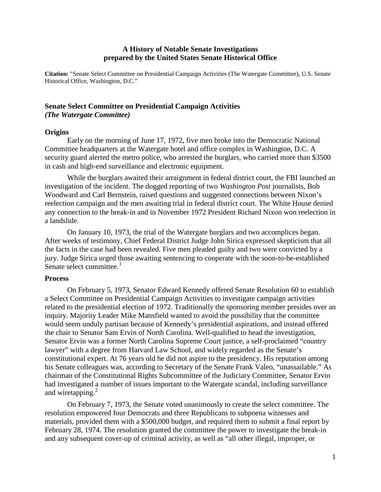## **A History of Notable Senate Investigations prepared by the United States Senate Historical Office**

**Citation:** "Senate Select Committee on Presidential Campaign Activities (The Watergate Committee), U.S. Senate Historical Office, Washington, D.C."

# **Senate Select Committee on Presidential Campaign Activities** *(The Watergate Committee)*

## **Origins**

Early on the morning of June 17, 1972, five men broke into the Democratic National Committee headquarters at the Watergate hotel and office complex in Washington, D.C. A security guard alerted the metro police, who arrested the burglars, who carried more than \$3500 in cash and high-end surveillance and electronic equipment.

While the burglars awaited their arraignment in federal district court, the FBI launched an investigation of the incident. The dogged reporting of two *Washington Post* journalists, Bob Woodward and Carl Bernstein, raised questions and suggested connections between Nixon's reelection campaign and the men awaiting trial in federal district court. The White House denied any connection to the break-in and in November 1972 President Richard Nixon won reelection in a landslide.

On January 10, 1973, the trial of the Watergate burglars and two accomplices began. After weeks of testimony, Chief Federal District Judge John Sirica expressed skepticism that all the facts in the case had been revealed. Five men pleaded guilty and two were convicted by a jury. Judge Sirica urged those awaiting sentencing to cooperate with the soon-to-be-established Senate select committee. $<sup>1</sup>$  $<sup>1</sup>$  $<sup>1</sup>$ </sup>

#### **Process**

On February 5, 1973, Senator Edward Kennedy offered Senate Resolution 60 to establish a Select Committee on Presidential Campaign Activities to investigate campaign activities related to the presidential election of 1972. Traditionally the sponsoring member presides over an inquiry. Majority Leader Mike Mansfield wanted to avoid the possibility that the committee would seem unduly partisan because of Kennedy's presidential aspirations, and instead offered the chair to Senator Sam Ervin of North Carolina. Well-qualified to head the investigation, Senator Ervin was a former North Carolina Supreme Court justice, a self-proclaimed "country lawyer" with a degree from Harvard Law School, and widely regarded as the Senate's constitutional expert. At 76 years old he did not aspire to the presidency. His reputation among his Senate colleagues was, according to Secretary of the Senate Frank Valeo, "unassailable." As chairman of the Constitutional Rights Subcommittee of the Judiciary Committee, Senator Ervin had investigated a number of issues important to the Watergate scandal, including surveillance and wiretapping.<sup>[2](#page-2-1)</sup>

On February 7, 1973, the Senate voted unanimously to create the select committee. The resolution empowered four Democrats and three Republicans to subpoena witnesses and materials, provided them with a \$500,000 budget, and required them to submit a final report by February 28, 1974. The resolution granted the committee the power to investigate the break-in and any subsequent cover-up of criminal activity, as well as "all other illegal, improper, or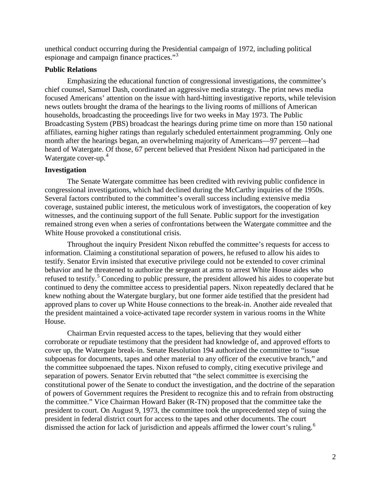unethical conduct occurring during the Presidential campaign of 1972, including political espionage and campaign finance practices."<sup>[3](#page-2-2)</sup>

## **Public Relations**

Emphasizing the educational function of congressional investigations, the committee's chief counsel, Samuel Dash, coordinated an aggressive media strategy. The print news media focused Americans' attention on the issue with hard-hitting investigative reports, while television news outlets brought the drama of the hearings to the living rooms of millions of American households, broadcasting the proceedings live for two weeks in May 1973. The Public Broadcasting System (PBS) broadcast the hearings during prime time on more than 150 national affiliates, earning higher ratings than regularly scheduled entertainment programming. Only one month after the hearings began, an overwhelming majority of Americans—97 percent—had heard of Watergate. Of those, 67 percent believed that President Nixon had participated in the Watergate cover-up. [4](#page-2-3)

## **Investigation**

The Senate Watergate committee has been credited with reviving public confidence in congressional investigations, which had declined during the McCarthy inquiries of the 1950s. Several factors contributed to the committee's overall success including extensive media coverage, sustained public interest, the meticulous work of investigators, the cooperation of key witnesses, and the continuing support of the full Senate. Public support for the investigation remained strong even when a series of confrontations between the Watergate committee and the White House provoked a constitutional crisis.

Throughout the inquiry President Nixon rebuffed the committee's requests for access to information. Claiming a constitutional separation of powers, he refused to allow his aides to testify. Senator Ervin insisted that executive privilege could not be extended to cover criminal behavior and he threatened to authorize the sergeant at arms to arrest White House aides who refused to testify.<sup>[5](#page-3-0)</sup> Conceding to public pressure, the president allowed his aides to cooperate but continued to deny the committee access to presidential papers. Nixon repeatedly declared that he knew nothing about the Watergate burglary, but one former aide testified that the president had approved plans to cover up White House connections to the break-in. Another aide revealed that the president maintained a voice-activated tape recorder system in various rooms in the White House.

Chairman Ervin requested access to the tapes, believing that they would either corroborate or repudiate testimony that the president had knowledge of, and approved efforts to cover up, the Watergate break-in. Senate Resolution 194 authorized the committee to "issue subpoenas for documents, tapes and other material to any officer of the executive branch," and the committee subpoenaed the tapes. Nixon refused to comply, citing executive privilege and separation of powers. Senator Ervin rebutted that "the select committee is exercising the constitutional power of the Senate to conduct the investigation, and the doctrine of the separation of powers of Government requires the President to recognize this and to refrain from obstructing the committee." Vice Chairman Howard Baker (R-TN) proposed that the committee take the president to court. On August 9, 1973, the committee took the unprecedented step of suing the president in federal district court for access to the tapes and other documents. The court dismissed the action for lack of jurisdiction and appeals affirmed the lower court's ruling.<sup>[6](#page-3-1)</sup>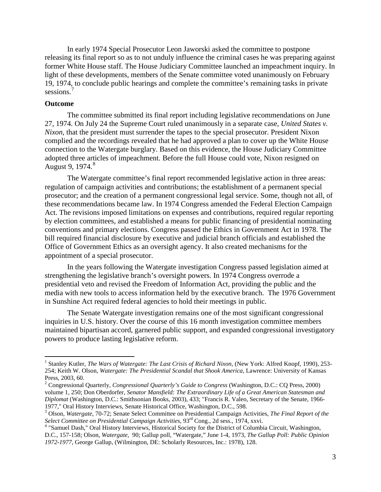In early 1974 Special Prosecutor Leon Jaworski asked the committee to postpone releasing its final report so as to not unduly influence the criminal cases he was preparing against former White House staff. The House Judiciary Committee launched an impeachment inquiry. In light of these developments, members of the Senate committee voted unanimously on February 19, 1974, to conclude public hearings and complete the committee's remaining tasks in private sessions.<sup>[7](#page-3-2)</sup>

## **Outcome**

The committee submitted its final report including legislative recommendations on June 27, 1974. On July 24 the Supreme Court ruled unanimously in a separate case, *United States v. Nixon,* that the president must surrender the tapes to the special prosecutor. President Nixon complied and the recordings revealed that he had approved a plan to cover up the White House connection to the Watergate burglary. Based on this evidence, the House Judiciary Committee adopted three articles of impeachment. Before the full House could vote, Nixon resigned on August 9,  $1974.<sup>8</sup>$  $1974.<sup>8</sup>$  $1974.<sup>8</sup>$ 

The Watergate committee's final report recommended legislative action in three areas: regulation of campaign activities and contributions; the establishment of a permanent special prosecutor; and the creation of a permanent congressional legal service. Some, though not all, of these recommendations became law. In 1974 Congress amended the Federal Election Campaign Act. The revisions imposed limitations on expenses and contributions, required regular reporting by election committees, and established a means for public financing of presidential nominating conventions and primary elections. Congress passed the Ethics in Government Act in 1978. The bill required financial disclosure by executive and judicial branch officials and established the Office of Government Ethics as an oversight agency. It also created mechanisms for the appointment of a special prosecutor.

In the years following the Watergate investigation Congress passed legislation aimed at strengthening the legislative branch's oversight powers. In 1974 Congress overrode a presidential veto and revised the Freedom of Information Act, providing the public and the media with new tools to access information held by the executive branch. The 1976 Government in Sunshine Act required federal agencies to hold their meetings in public.

The Senate Watergate investigation remains one of the most significant congressional inquiries in U.S. history. Over the course of this 16 month investigation committee members maintained bipartisan accord, garnered public support, and expanded congressional investigatory powers to produce lasting legislative reform.

<span id="page-2-0"></span><sup>&</sup>lt;sup>1</sup> Stanley Kutler, *The Wars of Watergate: The Last Crisis of Richard Nixon*, (New York: Alfred Knopf, 1990), 253-254; Keith W. Olson, *Watergate: The Presidential Scandal that Shook America*, Lawrence: University of Kansas Press, 2003, 60. <sup>2</sup> Congressional Quarterly, *Congressional Quarterly's Guide to Congress* (Washington, D.C.: CQ Press, 2000)

<span id="page-2-1"></span>volume 1, 250; Don Oberdorfer, *Senator Mansfield: The Extraordinary Life of a Great American Statesman and Diplomat* (Washington, D.C.: Smithsonian Books, 2003), 433; "Francis R. Valeo, Secretary of the Senate, 1966-

<span id="page-2-2"></span><sup>&</sup>lt;sup>3</sup> Olson, *Watergate, 70-72*; Senate Select Committee on Presidential Campaign Activities, *The Final Report of the Select Committee on Presidential Campaign Activities*, 93<sup>rd</sup> Cong., 2d sess., 1974, xxvi.

<span id="page-2-3"></span><sup>&</sup>lt;sup>4</sup> "Samuel Dash," Oral History Interviews, Historical Society for the District of Columbia Circuit, Washington, D.C., 157-158; Olson, *Watergate*, 90; Gallup poll, "Watergate," June 1-4, 1973, *The Gallup Poll: Public Opinion 1972-1977,* George Gallup, (Wilmington, DE: Scholarly Resources, Inc.: 1978), 128.